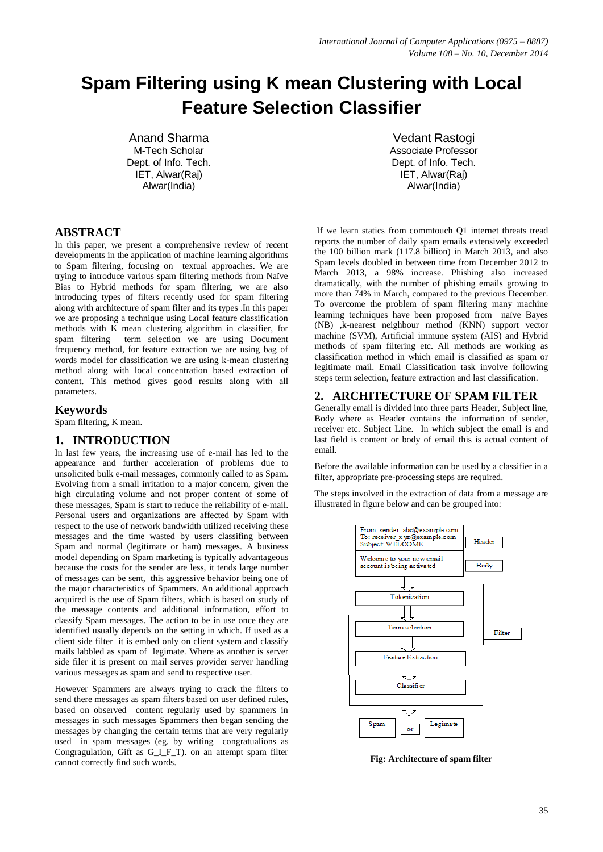# **Spam Filtering using K mean Clustering with Local Feature Selection Classifier**

Anand Sharma M-Tech Scholar Dept. of Info. Tech. IET, Alwar(Raj) Alwar(India)

Vedant Rastogi Associate Professor Dept. of Info. Tech. IET, Alwar(Raj) Alwar(India)

# **ABSTRACT**

In this paper, we present a comprehensive review of recent developments in the application of machine learning algorithms to Spam filtering, focusing on textual approaches. We are trying to introduce various spam filtering methods from Naïve Bias to Hybrid methods for spam filtering, we are also introducing types of filters recently used for spam filtering along with architecture of spam filter and its types .In this paper we are proposing a technique using Local feature classification methods with K mean clustering algorithm in classifier, for spam filtering term selection we are using Document frequency method, for feature extraction we are using bag of words model for classification we are using k-mean clustering method along with local concentration based extraction of content. This method gives good results along with all parameters.

#### **Keywords**

Spam filtering, K mean.

# **1. INTRODUCTION**

In last few years, the increasing use of e-mail has led to the appearance and further acceleration of problems due to unsolicited bulk e-mail messages, commonly called to as Spam. Evolving from a small irritation to a major concern, given the high circulating volume and not proper content of some of these messages, Spam is start to reduce the reliability of e-mail. Personal users and organizations are affected by Spam with respect to the use of network bandwidth utilized receiving these messages and the time wasted by users classifing between Spam and normal (legitimate or ham) messages. A business model depending on Spam marketing is typically advantageous because the costs for the sender are less, it tends large number of messages can be sent, this aggressive behavior being one of the major characteristics of Spammers. An additional approach acquired is the use of Spam filters, which is based on study of the message contents and additional information, effort to classify Spam messages. The action to be in use once they are identified usually depends on the setting in which. If used as a client side filter it is embed only on client system and classify mails labbled as spam of legimate. Where as another is server side filer it is present on mail serves provider server handling various messeges as spam and send to respective user.

However Spammers are always trying to crack the filters to send there messages as spam filters based on user defined rules, based on observed content regularly used by spammers in messages in such messages Spammers then began sending the messages by changing the certain terms that are very regularly used in spam messages (eg. by writing congratualions as Congragulation, Gift as G\_I\_F\_T). on an attempt spam filter cannot correctly find such words.

If we learn statics from commtouch Q1 internet threats tread reports the number of daily spam emails extensively exceeded the 100 billion mark (117.8 billion) in March 2013, and also Spam levels doubled in between time from December 2012 to March 2013, a 98% increase. Phishing also increased dramatically, with the number of phishing emails growing to more than 74% in March, compared to the previous December. To overcome the problem of spam filtering many machine learning techniques have been proposed from naïve Bayes (NB) ,k-nearest neighbour method (KNN) support vector machine (SVM), Artificial immune system (AIS) and Hybrid methods of spam filtering etc. All methods are working as classification method in which email is classified as spam or legitimate mail. Email Classification task involve following steps term selection, feature extraction and last classification.

# **2. ARCHITECTURE OF SPAM FILTER**

Generally email is divided into three parts Header, Subject line, Body where as Header contains the information of sender, receiver etc. Subject Line. In which subject the email is and last field is content or body of email this is actual content of email.

Before the available information can be used by a classifier in a filter, appropriate pre-processing steps are required.

The steps involved in the extraction of data from a message are illustrated in figure below and can be grouped into:



**Fig: Architecture of spam filter**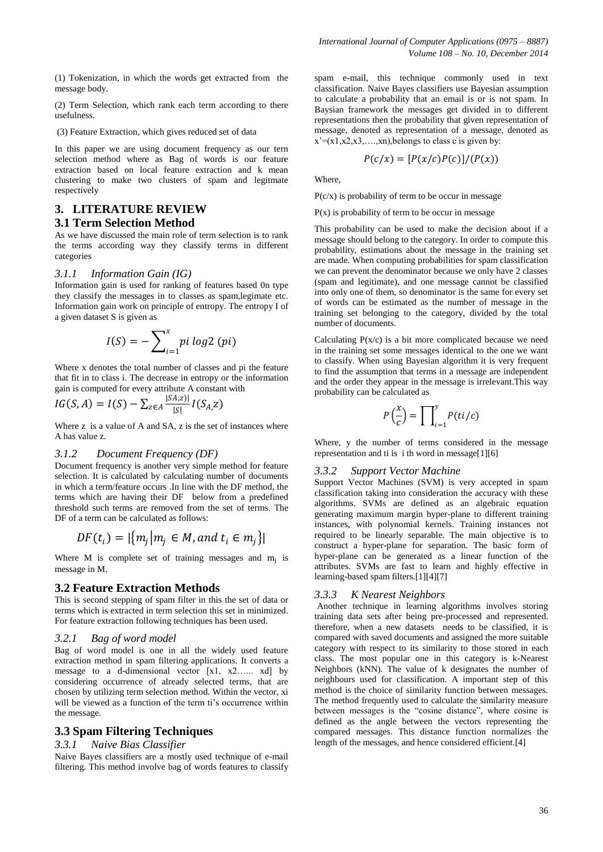(1) Tokenization, in which the words get extracted from the message body.

(2) Term Selection, which rank each term according to there usefulness.

(3) Feature Extraction, which gives reduced set of data

In this paper we are using document frequency as our tern selection method where as Bag of words is our feature extraction based on local feature extraction and k mean clustering to make two clusters of spam and legitmate respectively

# **3. LITERATURE REVIEW 3.1 Term Selection Method**

As we have discussed the main role of term selection is to rank the terms according way they classify terms in different categories

#### *3.1.1 Information Gain (IG)*

Information gain is used for ranking of features based 0n type they classify the messages in to classes as spam,legimate etc. Information gain work on principle of entropy. The entropy I of a given dataset S is given as

$$
I(S) = -\sum_{i=1}^{x} pi \log 2 (pi)
$$

Where x denotes the total number of classes and pi the feature that fit in to class i. The decrease in entropy or the information gain is computed for every attribute A constant with

$$
IG(S, A) = I(S) - \sum_{z \in A} \frac{|SA, z)|}{|S|} I(S_A, z)
$$

Where z is a value of A and SA, z is the set of instances where A has value z.

#### *3.1.2 Document Frequency (DF)*

Document frequency is another very simple method for feature selection. It is calculated by calculating number of documents in which a term/feature occurs .In line with the DF method, the terms which are having their DF below from a predefined threshold such terms are removed from the set of terms. The DF of a term can be calculated as follows:

$$
DF(t_i) = |\{m_j | m_j \in M, and t_i \in m_j\}|
$$

Where M is complete set of training messages and  $m_j$  is message in M.

#### **3.2 Feature Extraction Methods**

This is second stepping of spam filter in this the set of data or terms which is extracted in term selection this set in minimized. For feature extraction following techniques has been used.

#### *3.2.1 Bag of word model*

Bag of word model is one in all the widely used feature extraction method in spam filtering applications. It converts a message to a d-dimensional vector  $[x1, x2, \ldots xd]$  by considering occurrence of already selected terms, that are chosen by utilizing term selection method. Within the vector, xi will be viewed as a function of the term ti's occurrence within the message.

# **3.3 Spam Filtering Techniques**

#### *3.3.1 Naive Bias Classifier*

Naive Bayes classifiers are a mostly used technique of e-mail filtering. This method involve bag of words features to classify

spam e-mail, this technique commonly used in text classification. Naive Bayes classifiers use Bayesian assumption to calculate a probability that an email is or is not spam. In Baysian framework the messages get divided in to different representations then the probability that given representation of message, denoted as representation of a message, denoted as  $x'=(x_1,x_2,x_3,...,x_n)$ , belongs to class c is given by:

$$
P(c/x) = [P(x/c)P(c)]/(P(x))
$$

Where,

 $P(c/x)$  is probability of term to be occur in message

 $P(x)$  is probability of term to be occur in message

This probability can be used to make the decision about if a message should belong to the category. In order to compute this probability, estimations about the message in the training set are made. When computing probabilities for spam classification we can prevent the denominator because we only have 2 classes (spam and legitimate), and one message cannot be classified into only one of them, so denominator is the same for every set of words can be estimated as the number of message in the training set belonging to the category, divided by the total number of documents.

Calculating  $P(x/c)$  is a bit more complicated because we need in the training set some messages identical to the one we want to classify. When using Bayesian algorithm it is very frequent to find the assumption that terms in a message are independent and the order they appear in the message is irrelevant.This way probability can be calculated as

$$
P\left(\frac{x}{c}\right) = \prod_{i=1}^{y} P(ti/c)
$$

Where, y the number of terms considered in the message representation and ti is i th word in message[1][6]

#### *3.3.2 Support Vector Machine*

Support Vector Machines (SVM) is very accepted in spam classification taking into consideration the accuracy with these algorithms. SVMs are defined as an algebraic equation generating maximum margin hyper-plane to different training instances, with polynomial kernels. Training instances not required to be linearly separable. The main objective is to construct a hyper-plane for separation. The basic form of hyper-plane can be generated as a linear function of the attributes. SVMs are fast to learn and highly effective in learning-based spam filters.[1][4][7]

# *3.3.3 K Nearest Neighbors*

Another technique in learning algorithms involves storing training data sets after being pre-processed and represented. therefore, when a new datasets needs to be classified, it is compared with saved documents and assigned the more suitable category with respect to its similarity to those stored in each class. The most popular one in this category is k-Nearest Neighbors (kNN). The value of k designates the number of neighbours used for classification. A important step of this method is the choice of similarity function between messages. The method frequently used to calculate the similarity measure between messages is the "cosine distance", where cosine is defined as the angle between the vectors representing the compared messages. This distance function normalizes the length of the messages, and hence considered efficient.[4]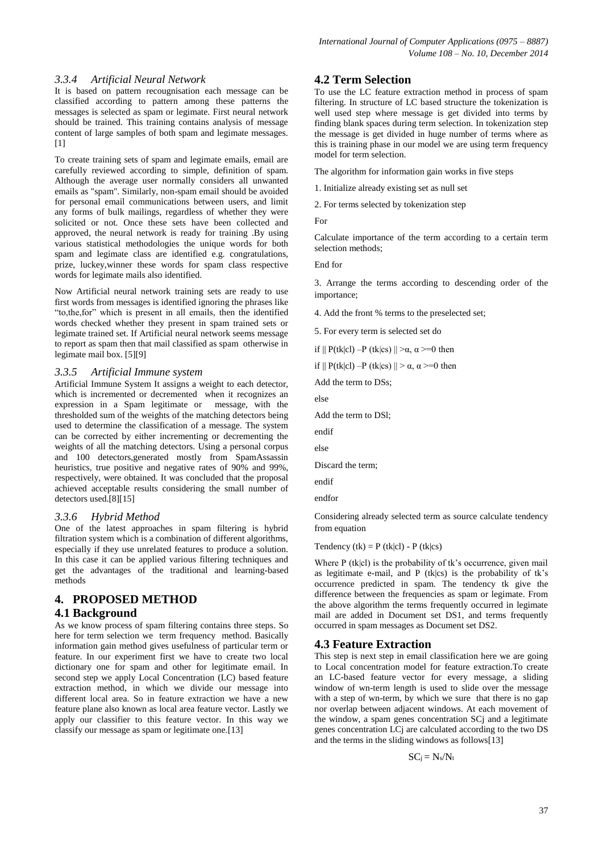#### *3.3.4 Artificial Neural Network*

It is based on pattern recougnisation each message can be classified according to pattern among these patterns the messages is selected as spam or legimate. First neural network should be trained. This training contains analysis of message content of large samples of both spam and legimate messages. [1]

To create training sets of spam and legimate emails, email are carefully reviewed according to simple, definition of spam. Although the average user normally considers all unwanted emails as "spam". Similarly, non-spam email should be avoided for personal email communications between users, and limit any forms of bulk mailings, regardless of whether they were solicited or not. Once these sets have been collected and approved, the neural network is ready for training .By using various statistical methodologies the unique words for both spam and legimate class are identified e.g. congratulations, prize, luckey,winner these words for spam class respective words for legimate mails also identified.

Now Artificial neural network training sets are ready to use first words from messages is identified ignoring the phrases like "to,the,for" which is present in all emails, then the identified words checked whether they present in spam trained sets or legimate trained set. If Artificial neural network seems message to report as spam then that mail classified as spam otherwise in legimate mail box. [5][9]

# *3.3.5 Artificial Immune system*

Artificial Immune System It assigns a weight to each detector, which is incremented or decremented when it recognizes an expression in a Spam legitimate or message, with the thresholded sum of the weights of the matching detectors being used to determine the classification of a message. The system can be corrected by either incrementing or decrementing the weights of all the matching detectors. Using a personal corpus and 100 detectors,generated mostly from SpamAssassin heuristics, true positive and negative rates of 90% and 99%, respectively, were obtained. It was concluded that the proposal achieved acceptable results considering the small number of detectors used.[8][15]

#### *3.3.6 Hybrid Method*

One of the latest approaches in spam filtering is hybrid filtration system which is a combination of different algorithms, especially if they use unrelated features to produce a solution. In this case it can be applied various filtering techniques and get the advantages of the traditional and learning-based methods

# **4. PROPOSED METHOD**

# **4.1 Background**

As we know process of spam filtering contains three steps. So here for term selection we term frequency method. Basically information gain method gives usefulness of particular term or feature. In our experiment first we have to create two local dictionary one for spam and other for legitimate email. In second step we apply Local Concentration (LC) based feature extraction method, in which we divide our message into different local area. So in feature extraction we have a new feature plane also known as local area feature vector. Lastly we apply our classifier to this feature vector. In this way we classify our message as spam or legitimate one.[13]

# **4.2 Term Selection**

To use the LC feature extraction method in process of spam filtering. In structure of LC based structure the tokenization is well used step where message is get divided into terms by finding blank spaces during term selection. In tokenization step the message is get divided in huge number of terms where as this is training phase in our model we are using term frequency model for term selection.

The algorithm for information gain works in five steps

1. Initialize already existing set as null set

2. For terms selected by tokenization step

For

Calculate importance of the term according to a certain term selection methods;

End for

3. Arrange the terms according to descending order of the importance;

4. Add the front % terms to the preselected set;

5. For every term is selected set do

if  $|| P(tk|cl) - P(tk|cs) || > \alpha, \alpha \geq 0$  then

if  $|| P(tk|cl) - P(tk|cs) || > \alpha, \alpha \geq 0$  then

Add the term to DSs;

else

Add the term to DSl;

endif

else

Discard the term;

endif

endfor

Considering already selected term as source calculate tendency from equation

Tendency (tk) =  $P$  (tk|cl) -  $P$  (tk|cs)

Where  $P$  (tk|cl) is the probability of tk's occurrence, given mail as legitimate e-mail, and  $P$  (tk|cs) is the probability of tk's occurrence predicted in spam. The tendency tk give the difference between the frequencies as spam or legimate. From the above algorithm the terms frequently occurred in legimate mail are added in Document set DS1, and terms frequently occurred in spam messages as Document set DS2.

# **4.3 Feature Extraction**

This step is next step in email classification here we are going to Local concentration model for feature extraction.To create an LC-based feature vector for every message, a sliding window of wn-term length is used to slide over the message with a step of wn-term, by which we sure that there is no gap nor overlap between adjacent windows. At each movement of the window, a spam genes concentration SCj and a legitimate genes concentration LCj are calculated according to the two DS and the terms in the sliding windows as follows[13]

$$
SC_j\,{=}\,\,N_s\!/\!N_t
$$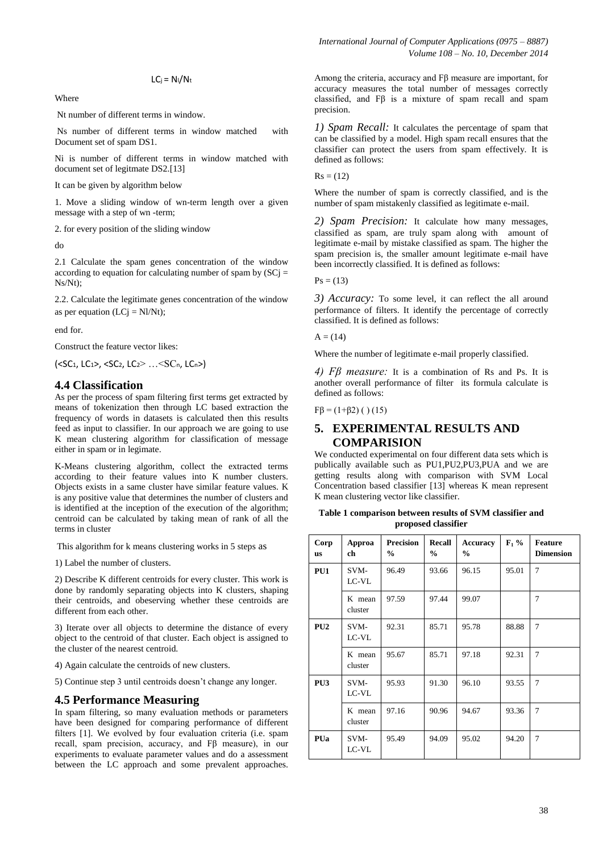$LC_j = N_l/N_t$ 

**Where** 

Nt number of different terms in window.

Ns number of different terms in window matched with Document set of spam DS1.

Ni is number of different terms in window matched with document set of legitmate DS2.[13]

It can be given by algorithm below

1. Move a sliding window of wn-term length over a given message with a step of wn -term;

2. for every position of the sliding window

do

2.1 Calculate the spam genes concentration of the window according to equation for calculating number of spam by  $(SC)$  = Ns/Nt);

2.2. Calculate the legitimate genes concentration of the window as per equation  $(LCj = NI/Nt)$ ;

end for.

Construct the feature vector likes:

(<SC1, LC1>, <SC2, LC2> …<SCn, LCn>)

#### **4.4 Classification**

As per the process of spam filtering first terms get extracted by means of tokenization then through LC based extraction the frequency of words in datasets is calculated then this results feed as input to classifier. In our approach we are going to use K mean clustering algorithm for classification of message either in spam or in legimate.

K-Means clustering algorithm, collect the extracted terms according to their feature values into K number clusters. Objects exists in a same cluster have similar feature values. K is any positive value that determines the number of clusters and is identified at the inception of the execution of the algorithm; centroid can be calculated by taking mean of rank of all the terms in cluster

This algorithm for k means clustering works in 5 steps as

1) Label the number of clusters.

2) Describe K different centroids for every cluster. This work is done by randomly separating objects into K clusters, shaping their centroids, and obeserving whether these centroids are different from each other.

3) Iterate over all objects to determine the distance of every object to the centroid of that cluster. Each object is assigned to the cluster of the nearest centroid.

4) Again calculate the centroids of new clusters.

5) Continue step 3 until centroids doesn"t change any longer.

#### **4.5 Performance Measuring**

In spam filtering, so many evaluation methods or parameters have been designed for comparing performance of different filters [1]. We evolved by four evaluation criteria (i.e. spam recall, spam precision, accuracy, and Fβ measure), in our experiments to evaluate parameter values and do a assessment between the LC approach and some prevalent approaches.

Among the criteria, accuracy and Fβ measure are important, for accuracy measures the total number of messages correctly classified, and Fβ is a mixture of spam recall and spam precision.

*1) Spam Recall:* It calculates the percentage of spam that can be classified by a model. High spam recall ensures that the classifier can protect the users from spam effectively. It is defined as follows:

 $Rs = (12)$ 

Where the number of spam is correctly classified, and is the number of spam mistakenly classified as legitimate e-mail.

*2) Spam Precision:* It calculate how many messages, classified as spam, are truly spam along with amount of legitimate e-mail by mistake classified as spam. The higher the spam precision is, the smaller amount legitimate e-mail have been incorrectly classified. It is defined as follows:

 $Ps = (13)$ 

*3) Accuracy:* To some level, it can reflect the all around performance of filters. It identify the percentage of correctly classified. It is defined as follows:

 $A = (14)$ 

Where the number of legitimate e-mail properly classified.

*4) Fβ measure:* It is a combination of Rs and Ps. It is another overall performance of filter its formula calculate is defined as follows:

 $F\beta = (1+\beta2)$  ( ) (15)

# **5. EXPERIMENTAL RESULTS AND COMPARISION**

We conducted experimental on four different data sets which is publically available such as PU1,PU2,PU3,PUA and we are getting results along with comparison with SVM Local Concentration based classifier [13] whereas K mean represent K mean clustering vector like classifier.

**Table 1 comparison between results of SVM classifier and proposed classifier**

| Corp<br><b>US</b> | Approa<br>ch      | <b>Precision</b><br>$\frac{0}{0}$ | <b>Recall</b><br>$\frac{6}{9}$ | <b>Accuracy</b><br>$\frac{6}{6}$ | $\mathbf{F}_1$ % | <b>Feature</b><br><b>Dimension</b> |
|-------------------|-------------------|-----------------------------------|--------------------------------|----------------------------------|------------------|------------------------------------|
| PU1               | SVM-<br>LC-VL     | 96.49                             | 93.66                          | 96.15                            | 95.01            | $\overline{7}$                     |
|                   | K mean<br>cluster | 97.59                             | 97.44                          | 99.07                            |                  | $\overline{7}$                     |
| PU2               | SVM-<br>LC-VL     | 92.31                             | 85.71                          | 95.78                            | 88.88            | $\overline{7}$                     |
|                   | K mean<br>cluster | 95.67                             | 85.71                          | 97.18                            | 92.31            | 7                                  |
| PU <sub>3</sub>   | SVM-<br>LC-VL     | 95.93                             | 91.30                          | 96.10                            | 93.55            | 7                                  |
|                   | K mean<br>cluster | 97.16                             | 90.96                          | 94.67                            | 93.36            | 7                                  |
| PUa               | SVM-<br>LC-VL     | 95.49                             | 94.09                          | 95.02                            | 94.20            | $\overline{7}$                     |